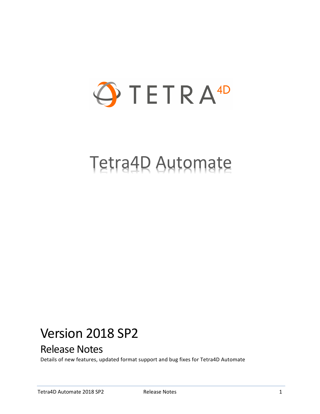

# Tetra4D Automate

## Version 2018 SP2

## Release Notes

Details of new features, updated format support and bug fixes for Tetra4D Automate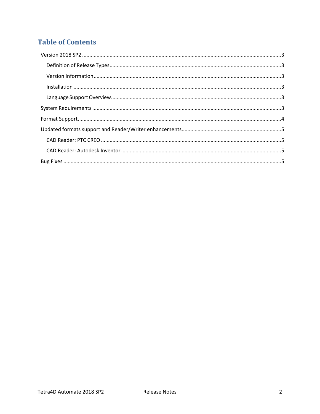## **Table of Contents**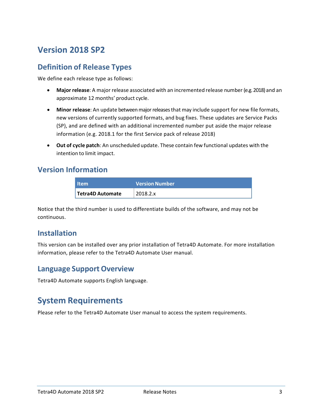## <span id="page-2-0"></span>**Version 2018 SP2**

#### <span id="page-2-1"></span>**Definition of Release Types**

We define each release type as follows:

- **Major release**: A major release associated with an incremented release number (e.g. 2018) and an approximate 12 months' product cycle.
- **Minor release**: An update betweenmajorreleasesthat may include support for new file formats, new versions of currently supported formats, and bug fixes. These updates are Service Packs (SP), and are defined with an additional incremented number put aside the major release information (e.g. 2018.1 for the first Service pack of release 2018)
- **Out of cycle patch**: An unscheduled update. These contain few functional updates with the intention to limit impact.

#### <span id="page-2-2"></span>**Version Information**

| <b>Item</b>             | <b>Version Number</b> |
|-------------------------|-----------------------|
| <b>Tetra4D Automate</b> | 2018.2.x              |

Notice that the third number is used to differentiate builds of the software, and may not be continuous.

#### <span id="page-2-3"></span>**Installation**

This version can be installed over any prior installation of Tetra4D Automate. For more installation information, please refer to the Tetra4D Automate User manual.

#### <span id="page-2-4"></span>**Language Support Overview**

Tetra4D Automate supports English language.

#### <span id="page-2-5"></span>**System Requirements**

Please refer to the Tetra4D Automate User manual to access the system requirements.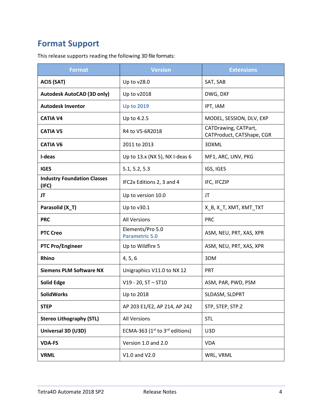## <span id="page-3-0"></span>**Format Support**

This release supports reading the following 3D file formats:

| <b>Format</b>                               | <b>Version</b>                            | <b>Extensions</b>                                 |
|---------------------------------------------|-------------------------------------------|---------------------------------------------------|
| <b>ACIS (SAT)</b>                           | Up to v28.0                               | SAT, SAB                                          |
| <b>Autodesk AutoCAD (3D only)</b>           | Up to v2018                               | DWG, DXF                                          |
| <b>Autodesk Inventor</b>                    | <b>Up to 2019</b>                         | IPT, IAM                                          |
| <b>CATIA V4</b>                             | Up to 4.2.5                               | MODEL, SESSION, DLV, EXP                          |
| <b>CATIA V5</b>                             | R4 to V5-6R2018                           | CATDrawing, CATPart,<br>CATProduct, CATShape, CGR |
| <b>CATIA V6</b>                             | 2011 to 2013                              | 3DXML                                             |
| I-deas                                      | Up to 13.x (NX 5), NX I-deas 6            | MF1, ARC, UNV, PKG                                |
| <b>IGES</b>                                 | 5.1, 5.2, 5.3                             | IGS, IGES                                         |
| <b>Industry Foundation Classes</b><br>(IFC) | IFC2x Editions 2, 3 and 4                 | IFC, IFCZIP                                       |
| JT                                          | Up to version 10.0                        | JT                                                |
| Parasolid (X_T)                             | Up to v30.1                               | X_B, X_T, XMT, XMT_TXT                            |
| <b>PRC</b>                                  | <b>All Versions</b>                       | <b>PRC</b>                                        |
| <b>PTC Creo</b>                             | Elements/Pro 5.0<br><b>Parametric 5.0</b> | ASM, NEU, PRT, XAS, XPR                           |
| <b>PTC Pro/Engineer</b>                     | Up to Wildfire 5                          | ASM, NEU, PRT, XAS, XPR                           |
| Rhino                                       | 4, 5, 6                                   | 3DM                                               |
| <b>Siemens PLM Software NX</b>              | Unigraphics V11.0 to NX 12                | <b>PRT</b>                                        |
| <b>Solid Edge</b>                           | $V19 - 20$ , ST $-$ ST10                  | ASM, PAR, PWD, PSM                                |
| <b>SolidWorks</b>                           | Up to 2018                                | SLDASM, SLDPRT                                    |
| <b>STEP</b>                                 | AP 203 E1/E2, AP 214, AP 242              | STP, STEP, STP.Z                                  |
| <b>Stereo Lithography (STL)</b>             | <b>All Versions</b>                       | <b>STL</b>                                        |
| Universal 3D (U3D)                          | ECMA-363 ( $1st$ to $3rd$ editions)       | U3D                                               |
| <b>VDA-FS</b>                               | Version 1.0 and 2.0                       | <b>VDA</b>                                        |
| <b>VRML</b>                                 | V1.0 and V2.0                             | WRL, VRML                                         |